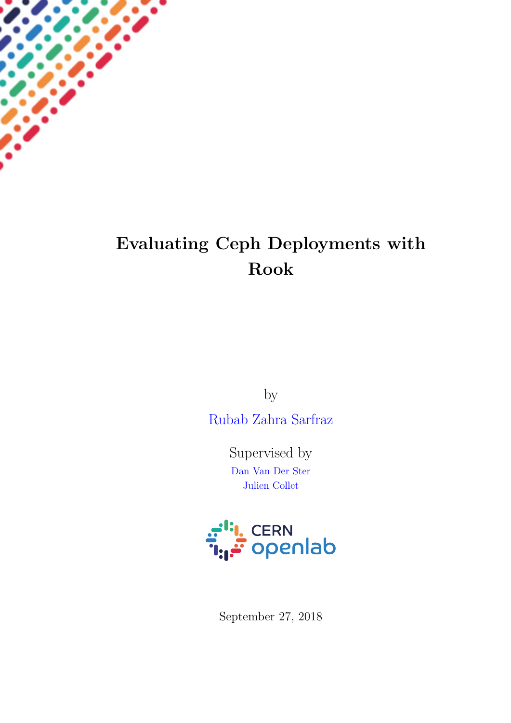

# Evaluating Ceph Deployments with Rook

by

[Rubab Zahra Sarfraz](https://www.linkedin.com/in/rubab-zahra-sarfraz-a1466872/)

Supervised by [Dan Van Der Ster](University Web Site URL Here (include http://)) [Julien Collet](University Web Site URL Here (include http://))



September 27, 2018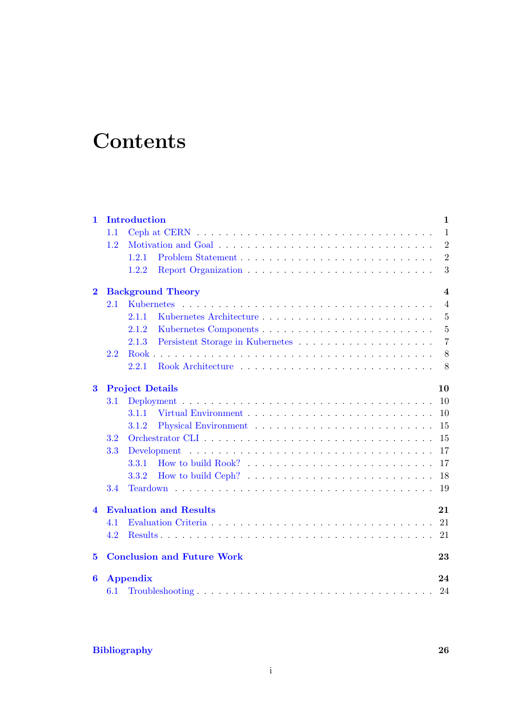# **Contents**

| $\mathbf{1}$     |                                     | <b>Introduction</b><br>$\mathbf{1}$ |                                                                              |                |  |  |
|------------------|-------------------------------------|-------------------------------------|------------------------------------------------------------------------------|----------------|--|--|
|                  | 1.1                                 |                                     |                                                                              | $\mathbf{1}$   |  |  |
|                  | 1.2                                 |                                     |                                                                              | $\overline{2}$ |  |  |
|                  |                                     | 1.2.1                               |                                                                              | $\overline{2}$ |  |  |
|                  |                                     | 1.2.2                               |                                                                              | 3              |  |  |
| $\mathbf{2}$     |                                     |                                     | <b>Background Theory</b>                                                     | $\overline{4}$ |  |  |
|                  | 2.1                                 |                                     |                                                                              | $\overline{4}$ |  |  |
|                  |                                     | 2.1.1                               |                                                                              | $\overline{5}$ |  |  |
|                  |                                     | 2.1.2                               |                                                                              | $\overline{5}$ |  |  |
|                  |                                     | 2.1.3                               |                                                                              | $\overline{7}$ |  |  |
|                  | 2.2                                 |                                     |                                                                              | 8              |  |  |
|                  |                                     | 2.2.1                               |                                                                              | 8              |  |  |
| $\bf{3}$         |                                     | <b>Project Details</b>              |                                                                              | 10             |  |  |
|                  | 3.1                                 |                                     |                                                                              |                |  |  |
|                  |                                     | 3.1.1                               |                                                                              | 10             |  |  |
|                  |                                     | 3.1.2                               |                                                                              | 15             |  |  |
|                  | 3.2                                 |                                     |                                                                              | 15             |  |  |
|                  | 3.3                                 |                                     |                                                                              | 17             |  |  |
|                  |                                     | 3.3.1                               |                                                                              | 17             |  |  |
|                  |                                     | 3.3.2                               | How to build Ceph? $\ldots \ldots \ldots \ldots \ldots \ldots \ldots \ldots$ | 18             |  |  |
|                  | 3.4                                 |                                     |                                                                              | 19             |  |  |
| $\blacktriangle$ | 21<br><b>Evaluation and Results</b> |                                     |                                                                              |                |  |  |
|                  | 4.1                                 |                                     |                                                                              |                |  |  |
|                  | 4.2                                 |                                     |                                                                              |                |  |  |
| 5                |                                     |                                     | <b>Conclusion and Future Work</b>                                            | 23             |  |  |
| 6                |                                     | <b>Appendix</b>                     |                                                                              | 24             |  |  |
|                  | 6.1                                 |                                     |                                                                              | 24             |  |  |

## [Bibliography](#page-27-0) 26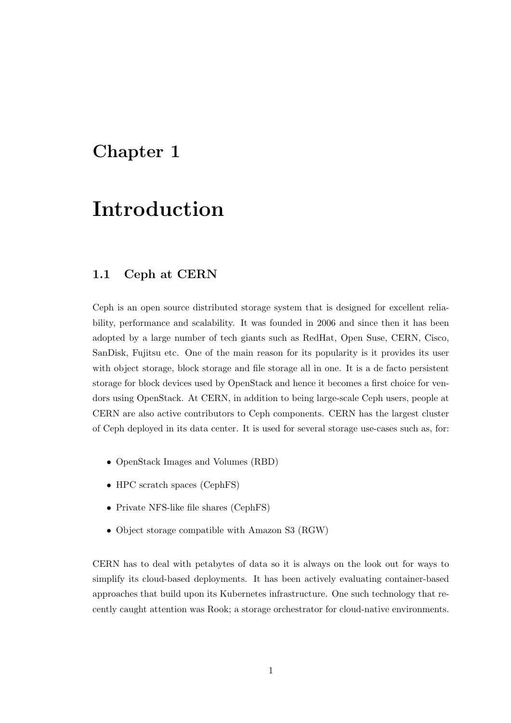## <span id="page-2-0"></span>Introduction

## <span id="page-2-1"></span>1.1 Ceph at CERN

Ceph is an open source distributed storage system that is designed for excellent reliability, performance and scalability. It was founded in 2006 and since then it has been adopted by a large number of tech giants such as RedHat, Open Suse, CERN, Cisco, SanDisk, Fujitsu etc. One of the main reason for its popularity is it provides its user with object storage, block storage and file storage all in one. It is a de facto persistent storage for block devices used by OpenStack and hence it becomes a first choice for vendors using OpenStack. At CERN, in addition to being large-scale Ceph users, people at CERN are also active contributors to Ceph components. CERN has the largest cluster of Ceph deployed in its data center. It is used for several storage use-cases such as, for:

- OpenStack Images and Volumes (RBD)
- HPC scratch spaces (CephFS)
- Private NFS-like file shares (CephFS)
- Object storage compatible with Amazon S3 (RGW)

CERN has to deal with petabytes of data so it is always on the look out for ways to simplify its cloud-based deployments. It has been actively evaluating container-based approaches that build upon its Kubernetes infrastructure. One such technology that recently caught attention was Rook; a storage orchestrator for cloud-native environments.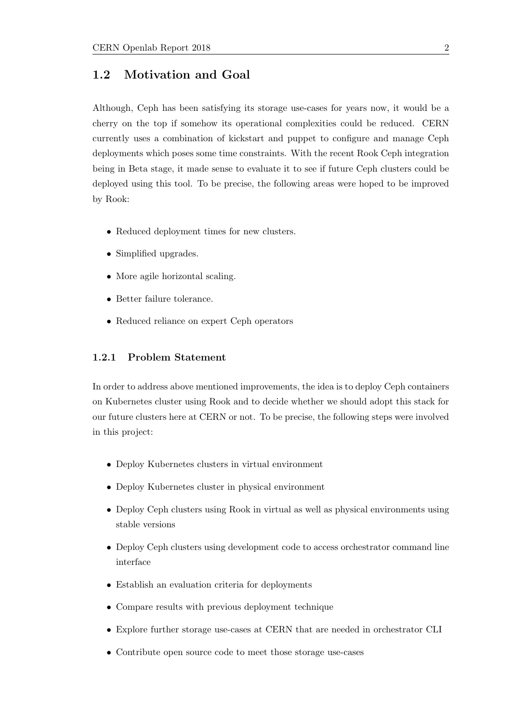### <span id="page-3-0"></span>1.2 Motivation and Goal

Although, Ceph has been satisfying its storage use-cases for years now, it would be a cherry on the top if somehow its operational complexities could be reduced. CERN currently uses a combination of kickstart and puppet to configure and manage Ceph deployments which poses some time constraints. With the recent Rook Ceph integration being in Beta stage, it made sense to evaluate it to see if future Ceph clusters could be deployed using this tool. To be precise, the following areas were hoped to be improved by Rook:

- Reduced deployment times for new clusters.
- Simplified upgrades.
- More agile horizontal scaling.
- Better failure tolerance.
- Reduced reliance on expert Ceph operators

#### <span id="page-3-1"></span>1.2.1 Problem Statement

In order to address above mentioned improvements, the idea is to deploy Ceph containers on Kubernetes cluster using Rook and to decide whether we should adopt this stack for our future clusters here at CERN or not. To be precise, the following steps were involved in this project:

- Deploy Kubernetes clusters in virtual environment
- Deploy Kubernetes cluster in physical environment
- Deploy Ceph clusters using Rook in virtual as well as physical environments using stable versions
- Deploy Ceph clusters using development code to access orchestrator command line interface
- Establish an evaluation criteria for deployments
- Compare results with previous deployment technique
- Explore further storage use-cases at CERN that are needed in orchestrator CLI
- Contribute open source code to meet those storage use-cases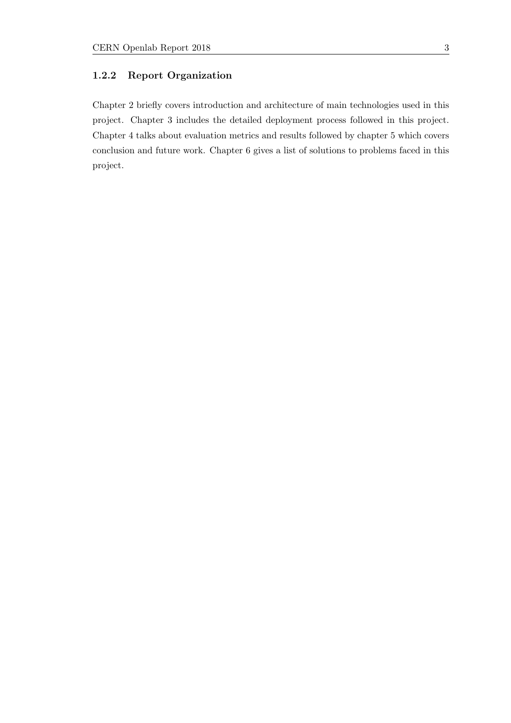#### <span id="page-4-0"></span>1.2.2 Report Organization

Chapter 2 briefly covers introduction and architecture of main technologies used in this project. Chapter 3 includes the detailed deployment process followed in this project. Chapter 4 talks about evaluation metrics and results followed by chapter 5 which covers conclusion and future work. Chapter 6 gives a list of solutions to problems faced in this project.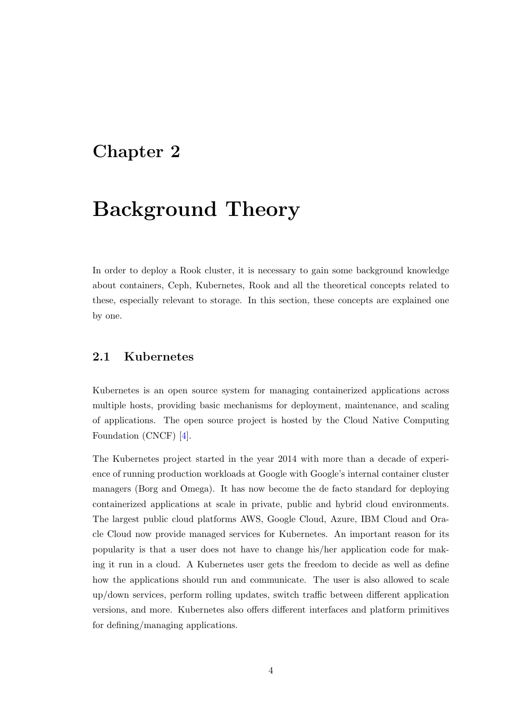## <span id="page-5-0"></span>Background Theory

In order to deploy a Rook cluster, it is necessary to gain some background knowledge about containers, Ceph, Kubernetes, Rook and all the theoretical concepts related to these, especially relevant to storage. In this section, these concepts are explained one by one.

### <span id="page-5-1"></span>2.1 Kubernetes

Kubernetes is an open source system for managing containerized applications across multiple hosts, providing basic mechanisms for deployment, maintenance, and scaling of applications. The open source project is hosted by the Cloud Native Computing Foundation (CNCF) [\[4\]](#page-27-1).

The Kubernetes project started in the year 2014 with more than a decade of experience of running production workloads at Google with Google's internal container cluster managers (Borg and Omega). It has now become the de facto standard for deploying containerized applications at scale in private, public and hybrid cloud environments. The largest public cloud platforms AWS, Google Cloud, Azure, IBM Cloud and Oracle Cloud now provide managed services for Kubernetes. An important reason for its popularity is that a user does not have to change his/her application code for making it run in a cloud. A Kubernetes user gets the freedom to decide as well as define how the applications should run and communicate. The user is also allowed to scale up/down services, perform rolling updates, switch traffic between different application versions, and more. Kubernetes also offers different interfaces and platform primitives for defining/managing applications.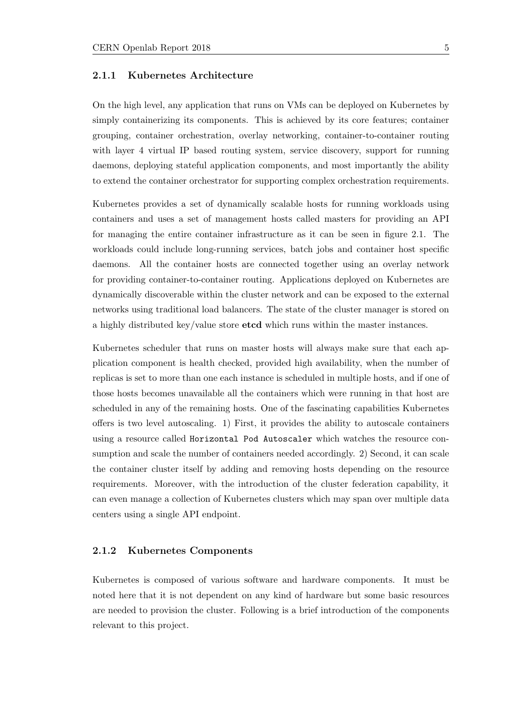#### <span id="page-6-0"></span>2.1.1 Kubernetes Architecture

On the high level, any application that runs on VMs can be deployed on Kubernetes by simply containerizing its components. This is achieved by its core features; container grouping, container orchestration, overlay networking, container-to-container routing with layer 4 virtual IP based routing system, service discovery, support for running daemons, deploying stateful application components, and most importantly the ability to extend the container orchestrator for supporting complex orchestration requirements.

Kubernetes provides a set of dynamically scalable hosts for running workloads using containers and uses a set of management hosts called masters for providing an API for managing the entire container infrastructure as it can be seen in figure 2.1. The workloads could include long-running services, batch jobs and container host specific daemons. All the container hosts are connected together using an overlay network for providing container-to-container routing. Applications deployed on Kubernetes are dynamically discoverable within the cluster network and can be exposed to the external networks using traditional load balancers. The state of the cluster manager is stored on a highly distributed key/value store etcd which runs within the master instances.

Kubernetes scheduler that runs on master hosts will always make sure that each application component is health checked, provided high availability, when the number of replicas is set to more than one each instance is scheduled in multiple hosts, and if one of those hosts becomes unavailable all the containers which were running in that host are scheduled in any of the remaining hosts. One of the fascinating capabilities Kubernetes offers is two level autoscaling. 1) First, it provides the ability to autoscale containers using a resource called Horizontal Pod Autoscaler which watches the resource consumption and scale the number of containers needed accordingly. 2) Second, it can scale the container cluster itself by adding and removing hosts depending on the resource requirements. Moreover, with the introduction of the cluster federation capability, it can even manage a collection of Kubernetes clusters which may span over multiple data centers using a single API endpoint.

#### <span id="page-6-1"></span>2.1.2 Kubernetes Components

Kubernetes is composed of various software and hardware components. It must be noted here that it is not dependent on any kind of hardware but some basic resources are needed to provision the cluster. Following is a brief introduction of the components relevant to this project.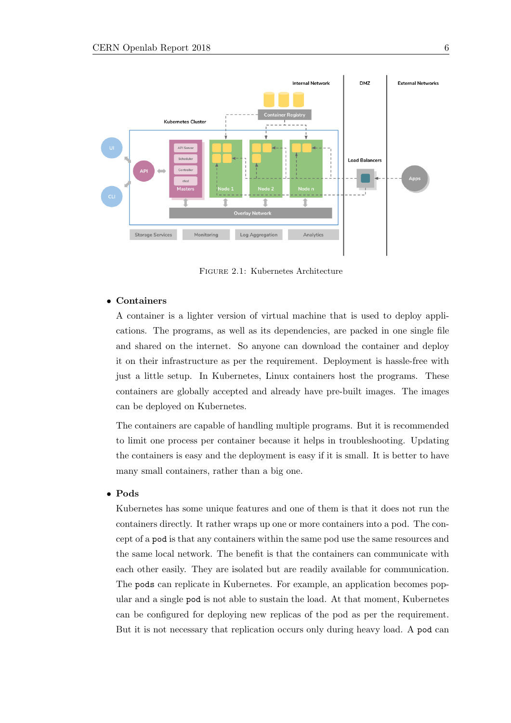

Figure 2.1: Kubernetes Architecture

#### • Containers

A container is a lighter version of virtual machine that is used to deploy applications. The programs, as well as its dependencies, are packed in one single file and shared on the internet. So anyone can download the container and deploy it on their infrastructure as per the requirement. Deployment is hassle-free with just a little setup. In Kubernetes, Linux containers host the programs. These containers are globally accepted and already have pre-built images. The images can be deployed on Kubernetes.

The containers are capable of handling multiple programs. But it is recommended to limit one process per container because it helps in troubleshooting. Updating the containers is easy and the deployment is easy if it is small. It is better to have many small containers, rather than a big one.

#### • Pods

Kubernetes has some unique features and one of them is that it does not run the containers directly. It rather wraps up one or more containers into a pod. The concept of a pod is that any containers within the same pod use the same resources and the same local network. The benefit is that the containers can communicate with each other easily. They are isolated but are readily available for communication. The pods can replicate in Kubernetes. For example, an application becomes popular and a single pod is not able to sustain the load. At that moment, Kubernetes can be configured for deploying new replicas of the pod as per the requirement. But it is not necessary that replication occurs only during heavy load. A pod can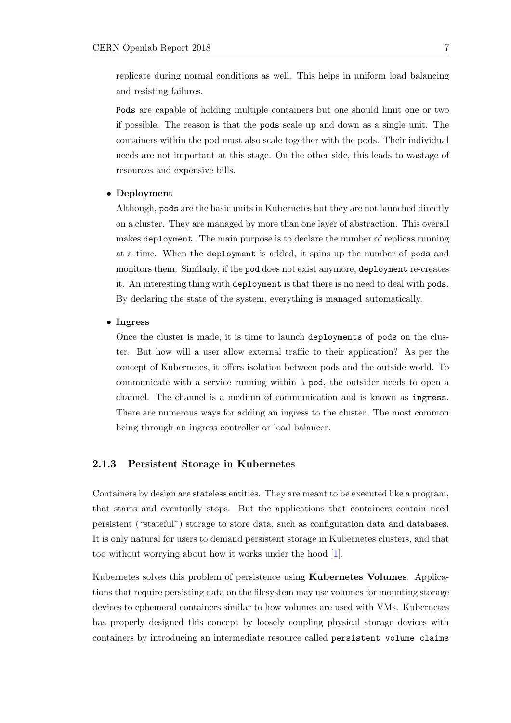replicate during normal conditions as well. This helps in uniform load balancing and resisting failures.

Pods are capable of holding multiple containers but one should limit one or two if possible. The reason is that the pods scale up and down as a single unit. The containers within the pod must also scale together with the pods. Their individual needs are not important at this stage. On the other side, this leads to wastage of resources and expensive bills.

#### • Deployment

Although, pods are the basic units in Kubernetes but they are not launched directly on a cluster. They are managed by more than one layer of abstraction. This overall makes deployment. The main purpose is to declare the number of replicas running at a time. When the deployment is added, it spins up the number of pods and monitors them. Similarly, if the pod does not exist anymore, deployment re-creates it. An interesting thing with deployment is that there is no need to deal with pods. By declaring the state of the system, everything is managed automatically.

#### • Ingress

Once the cluster is made, it is time to launch deployments of pods on the cluster. But how will a user allow external traffic to their application? As per the concept of Kubernetes, it offers isolation between pods and the outside world. To communicate with a service running within a pod, the outsider needs to open a channel. The channel is a medium of communication and is known as ingress. There are numerous ways for adding an ingress to the cluster. The most common being through an ingress controller or load balancer.

#### <span id="page-8-0"></span>2.1.3 Persistent Storage in Kubernetes

Containers by design are stateless entities. They are meant to be executed like a program, that starts and eventually stops. But the applications that containers contain need persistent ("stateful") storage to store data, such as configuration data and databases. It is only natural for users to demand persistent storage in Kubernetes clusters, and that too without worrying about how it works under the hood [\[1\]](#page-27-2).

Kubernetes solves this problem of persistence using Kubernetes Volumes. Applications that require persisting data on the filesystem may use volumes for mounting storage devices to ephemeral containers similar to how volumes are used with VMs. Kubernetes has properly designed this concept by loosely coupling physical storage devices with containers by introducing an intermediate resource called persistent volume claims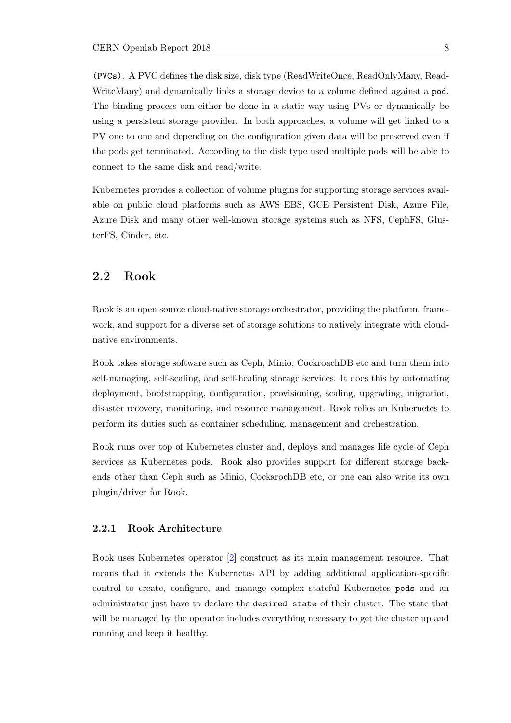(PVCs). A PVC defines the disk size, disk type (ReadWriteOnce, ReadOnlyMany, Read-WriteMany) and dynamically links a storage device to a volume defined against a pod. The binding process can either be done in a static way using PVs or dynamically be using a persistent storage provider. In both approaches, a volume will get linked to a PV one to one and depending on the configuration given data will be preserved even if the pods get terminated. According to the disk type used multiple pods will be able to connect to the same disk and read/write.

Kubernetes provides a collection of volume plugins for supporting storage services available on public cloud platforms such as AWS EBS, GCE Persistent Disk, Azure File, Azure Disk and many other well-known storage systems such as NFS, CephFS, GlusterFS, Cinder, etc.

### <span id="page-9-0"></span>2.2 Rook

Rook is an open source cloud-native storage orchestrator, providing the platform, framework, and support for a diverse set of storage solutions to natively integrate with cloudnative environments.

Rook takes storage software such as Ceph, Minio, CockroachDB etc and turn them into self-managing, self-scaling, and self-healing storage services. It does this by automating deployment, bootstrapping, configuration, provisioning, scaling, upgrading, migration, disaster recovery, monitoring, and resource management. Rook relies on Kubernetes to perform its duties such as container scheduling, management and orchestration.

Rook runs over top of Kubernetes cluster and, deploys and manages life cycle of Ceph services as Kubernetes pods. Rook also provides support for different storage backends other than Ceph such as Minio, CockarochDB etc, or one can also write its own plugin/driver for Rook.

#### <span id="page-9-1"></span>2.2.1 Rook Architecture

Rook uses Kubernetes operator [\[2\]](#page-27-3) construct as its main management resource. That means that it extends the Kubernetes API by adding additional application-specific control to create, configure, and manage complex stateful Kubernetes pods and an administrator just have to declare the desired state of their cluster. The state that will be managed by the operator includes everything necessary to get the cluster up and running and keep it healthy.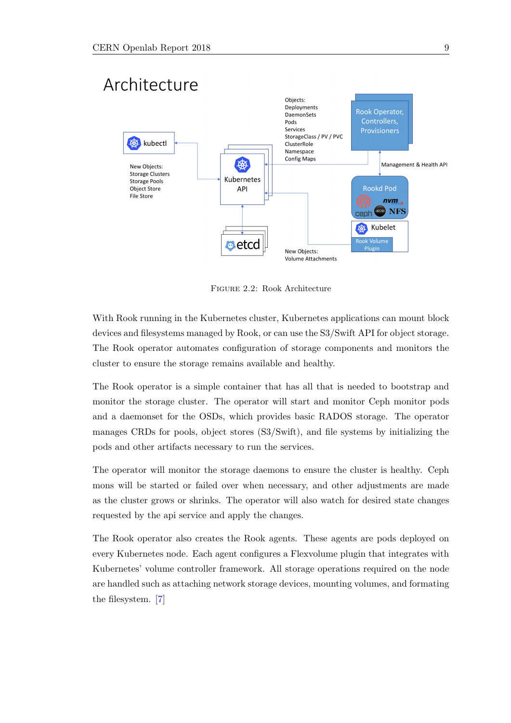

Figure 2.2: Rook Architecture

With Rook running in the Kubernetes cluster, Kubernetes applications can mount block devices and filesystems managed by Rook, or can use the S3/Swift API for object storage. The Rook operator automates configuration of storage components and monitors the cluster to ensure the storage remains available and healthy.

The Rook operator is a simple container that has all that is needed to bootstrap and monitor the storage cluster. The operator will start and monitor Ceph monitor pods and a daemonset for the OSDs, which provides basic RADOS storage. The operator manages CRDs for pools, object stores (S3/Swift), and file systems by initializing the pods and other artifacts necessary to run the services.

The operator will monitor the storage daemons to ensure the cluster is healthy. Ceph mons will be started or failed over when necessary, and other adjustments are made as the cluster grows or shrinks. The operator will also watch for desired state changes requested by the api service and apply the changes.

The Rook operator also creates the Rook agents. These agents are pods deployed on every Kubernetes node. Each agent configures a Flexvolume plugin that integrates with Kubernetes' volume controller framework. All storage operations required on the node are handled such as attaching network storage devices, mounting volumes, and formating the filesystem. [\[7\]](#page-27-4)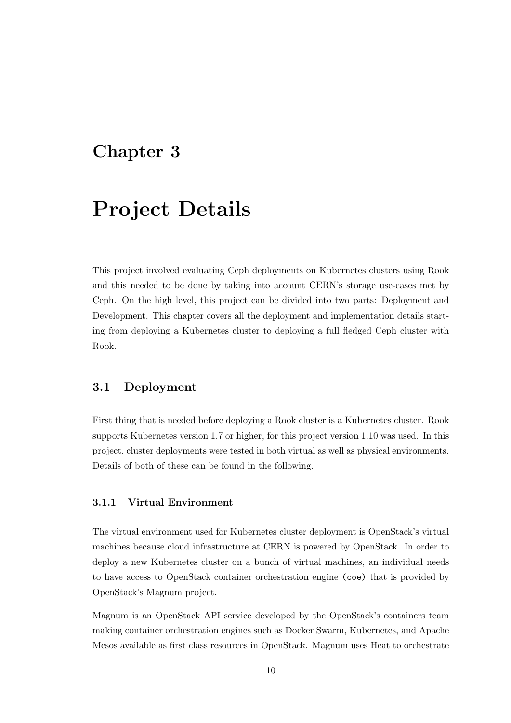# <span id="page-11-0"></span>Project Details

This project involved evaluating Ceph deployments on Kubernetes clusters using Rook and this needed to be done by taking into account CERN's storage use-cases met by Ceph. On the high level, this project can be divided into two parts: Deployment and Development. This chapter covers all the deployment and implementation details starting from deploying a Kubernetes cluster to deploying a full fledged Ceph cluster with Rook.

### <span id="page-11-1"></span>3.1 Deployment

First thing that is needed before deploying a Rook cluster is a Kubernetes cluster. Rook supports Kubernetes version 1.7 or higher, for this project version 1.10 was used. In this project, cluster deployments were tested in both virtual as well as physical environments. Details of both of these can be found in the following.

#### <span id="page-11-2"></span>3.1.1 Virtual Environment

The virtual environment used for Kubernetes cluster deployment is OpenStack's virtual machines because cloud infrastructure at CERN is powered by OpenStack. In order to deploy a new Kubernetes cluster on a bunch of virtual machines, an individual needs to have access to OpenStack container orchestration engine (coe) that is provided by OpenStack's Magnum project.

Magnum is an OpenStack API service developed by the OpenStack's containers team making container orchestration engines such as Docker Swarm, Kubernetes, and Apache Mesos available as first class resources in OpenStack. Magnum uses Heat to orchestrate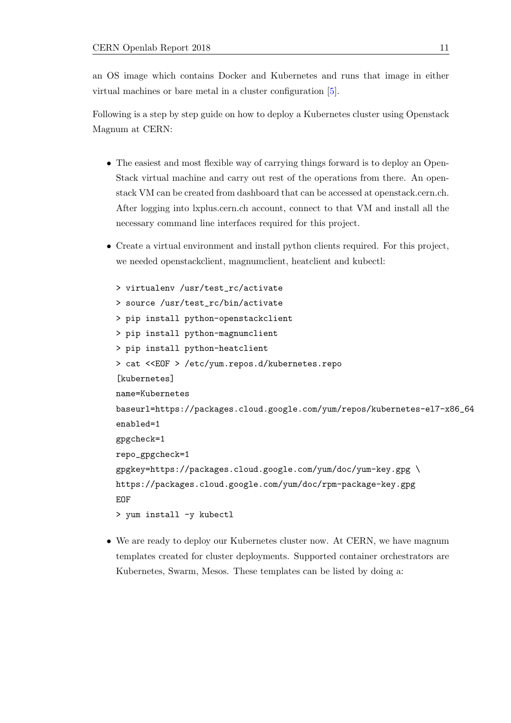an OS image which contains Docker and Kubernetes and runs that image in either virtual machines or bare metal in a cluster configuration [\[5\]](#page-27-5).

Following is a step by step guide on how to deploy a Kubernetes cluster using Openstack Magnum at CERN:

- The easiest and most flexible way of carrying things forward is to deploy an Open-Stack virtual machine and carry out rest of the operations from there. An openstack VM can be created from dashboard that can be accessed at openstack.cern.ch. After logging into lxplus.cern.ch account, connect to that VM and install all the necessary command line interfaces required for this project.
- Create a virtual environment and install python clients required. For this project, we needed openstackclient, magnumclient, heatclient and kubectl:

```
> virtualenv /usr/test_rc/activate
> source /usr/test_rc/bin/activate
> pip install python-openstackclient
> pip install python-magnumclient
> pip install python-heatclient
> cat <<EOF > /etc/yum.repos.d/kubernetes.repo
[kubernetes]
name=Kubernetes
baseurl=https://packages.cloud.google.com/yum/repos/kubernetes-el7-x86_64
enabled=1
gpgcheck=1
repo_gpgcheck=1
gpgkey=https://packages.cloud.google.com/yum/doc/yum-key.gpg \
https://packages.cloud.google.com/yum/doc/rpm-package-key.gpg
EOF
> yum install -y kubectl
```
• We are ready to deploy our Kubernetes cluster now. At CERN, we have magnum templates created for cluster deployments. Supported container orchestrators are Kubernetes, Swarm, Mesos. These templates can be listed by doing a: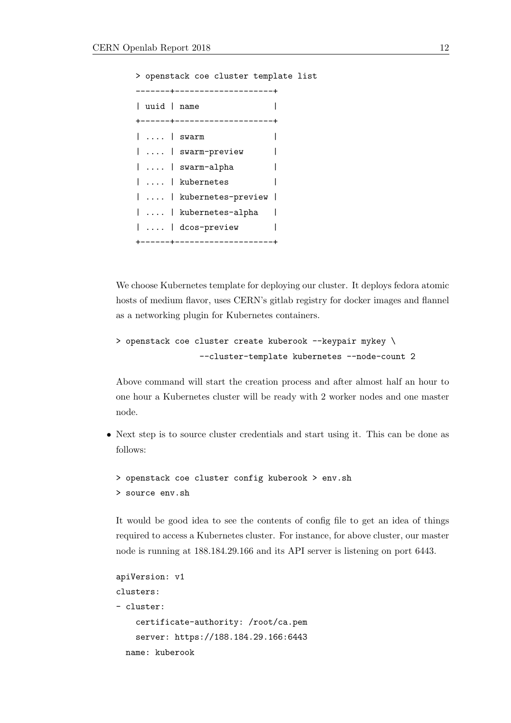> openstack coe cluster template list -------+--------------------+ | uuid | name | +------+--------------------+ | .... | swarm | | .... | swarm-preview | | .... | swarm-alpha | | .... | kubernetes | | .... | kubernetes-preview | | .... | kubernetes-alpha | | .... | dcos-preview | +------+--------------------+

We choose Kubernetes template for deploying our cluster. It deploys fedora atomic hosts of medium flavor, uses CERN's gitlab registry for docker images and flannel as a networking plugin for Kubernetes containers.

```
> openstack coe cluster create kuberook --keypair mykey \
                 --cluster-template kubernetes --node-count 2
```
Above command will start the creation process and after almost half an hour to one hour a Kubernetes cluster will be ready with 2 worker nodes and one master node.

• Next step is to source cluster credentials and start using it. This can be done as follows:

```
> openstack coe cluster config kuberook > env.sh
> source env.sh
```
It would be good idea to see the contents of config file to get an idea of things required to access a Kubernetes cluster. For instance, for above cluster, our master node is running at 188.184.29.166 and its API server is listening on port 6443.

```
apiVersion: v1
clusters:
- cluster:
    certificate-authority: /root/ca.pem
    server: https://188.184.29.166:6443
  name: kuberook
```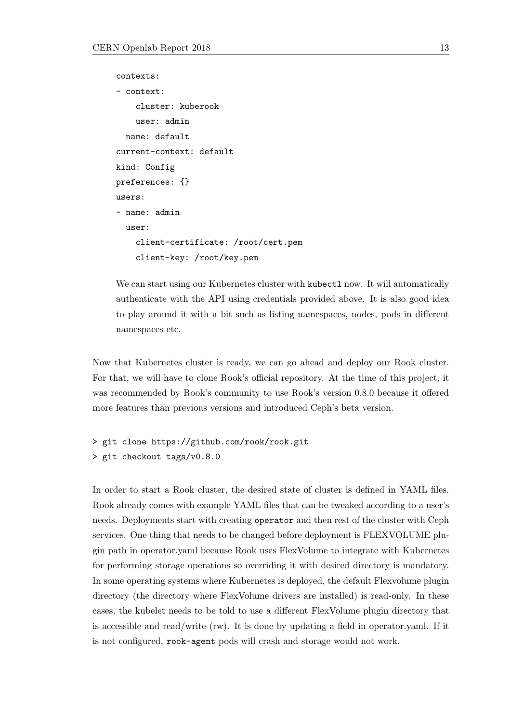```
contexts:
- context:
    cluster: kuberook
    user: admin
  name: default
current-context: default
kind: Config
preferences: {}
users:
- name: admin
  user:
    client-certificate: /root/cert.pem
    client-key: /root/key.pem
```
We can start using our Kubernetes cluster with kubectl now. It will automatically authenticate with the API using credentials provided above. It is also good idea to play around it with a bit such as listing namespaces, nodes, pods in different namespaces etc.

Now that Kubernetes cluster is ready, we can go ahead and deploy our Rook cluster. For that, we will have to clone Rook's official repository. At the time of this project, it was recommended by Rook's community to use Rook's version 0.8.0 because it offered more features than previous versions and introduced Ceph's beta version.

```
> git clone https://github.com/rook/rook.git
> git checkout tags/v0.8.0
```
In order to start a Rook cluster, the desired state of cluster is defined in YAML files. Rook already comes with example YAML files that can be tweaked according to a user's needs. Deployments start with creating operator and then rest of the cluster with Ceph services. One thing that needs to be changed before deployment is FLEXVOLUME plugin path in operator.yaml because Rook uses FlexVolume to integrate with Kubernetes for performing storage operations so overriding it with desired directory is mandatory. In some operating systems where Kubernetes is deployed, the default Flexvolume plugin directory (the directory where FlexVolume drivers are installed) is read-only. In these cases, the kubelet needs to be told to use a different FlexVolume plugin directory that is accessible and read/write (rw). It is done by updating a field in operator.yaml. If it is not configured, rook-agent pods will crash and storage would not work.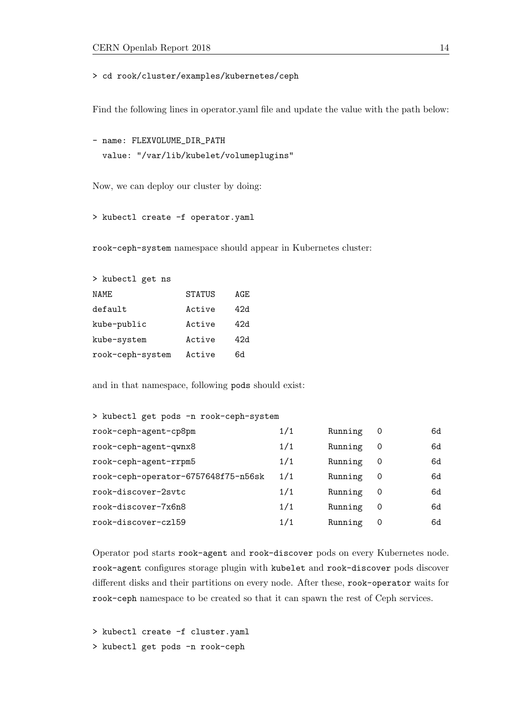> cd rook/cluster/examples/kubernetes/ceph

Find the following lines in operator.yaml file and update the value with the path below:

```
- name: FLEXVOLUME_DIR_PATH
 value: "/var/lib/kubelet/volumeplugins"
```
Now, we can deploy our cluster by doing:

> kubectl create -f operator.yaml

rook-ceph-system namespace should appear in Kubernetes cluster:

| STATUS | AGE. |
|--------|------|
| Active | 42ዓ  |
| Active | 42d  |
| Active | 42d  |
| Active | 6d   |
|        |      |

and in that namespace, following pods should exist:

| > kubectl get pods -n rook-ceph-system |     |         |                |    |
|----------------------------------------|-----|---------|----------------|----|
| rook-ceph-agent-cp8pm                  | 1/1 | Running | $\overline{0}$ | 6d |
| rook-ceph-agent-qwnx8                  | 1/1 | Running | 0              | 6d |
| rook-ceph-agent-rrpm5                  | 1/1 | Running | 0              | 6d |
| rook-ceph-operator-6757648f75-n56sk    | 1/1 | Running | 0              | 6d |
| rook-discover-2svtc                    | 1/1 | Running | 0              | 6d |
| rook-discover-7x6n8                    | 1/1 | Running | 0              | 6d |
| rook-discover-cz159                    | 1/1 | Running | 0              | 6d |
|                                        |     |         |                |    |

Operator pod starts rook-agent and rook-discover pods on every Kubernetes node. rook-agent configures storage plugin with kubelet and rook-discover pods discover different disks and their partitions on every node. After these, rook-operator waits for rook-ceph namespace to be created so that it can spawn the rest of Ceph services.

> kubectl create -f cluster.yaml

> kubectl get pods -n rook-ceph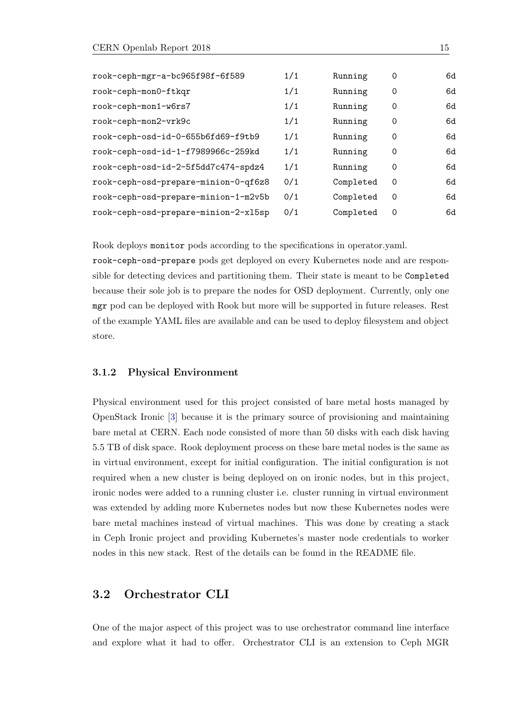| rook-ceph-mgr-a-bc965f98f-6f589      | 1/1 | Running   | 0        | 6d |
|--------------------------------------|-----|-----------|----------|----|
| rook-ceph-mon0-ftkqr                 | 1/1 | Running   | $\Omega$ | 6d |
| rook-ceph-mon1-w6rs7                 | 1/1 | Running   | $\Omega$ | 6d |
| rook-ceph-mon2-vrk9c                 | 1/1 | Running   | $\Omega$ | 6d |
| rook-ceph-osd-id-0-655b6fd69-f9tb9   | 1/1 | Running   | $\Omega$ | 6d |
| rook-ceph-osd-id-1-f7989966c-259kd   | 1/1 | Running   | $\Omega$ | 6d |
| rook-ceph-osd-id-2-5f5dd7c474-spdz4  | 1/1 | Running   | $\Omega$ | 6d |
| rook-ceph-osd-prepare-minion-0-qf6z8 | 0/1 | Completed | $\Omega$ | 6d |
| rook-ceph-osd-prepare-minion-1-m2v5b | 0/1 | Completed | $\Omega$ | 6d |
| rook-ceph-osd-prepare-minion-2-x15sp | 0/1 | Completed | $\Omega$ | 6d |

Rook deploys monitor pods according to the specifications in operator.yaml.

rook-ceph-osd-prepare pods get deployed on every Kubernetes node and are responsible for detecting devices and partitioning them. Their state is meant to be Completed because their sole job is to prepare the nodes for OSD deployment. Currently, only one mgr pod can be deployed with Rook but more will be supported in future releases. Rest of the example YAML files are available and can be used to deploy filesystem and object store.

#### <span id="page-16-0"></span>3.1.2 Physical Environment

Physical environment used for this project consisted of bare metal hosts managed by OpenStack Ironic [\[3\]](#page-27-6) because it is the primary source of provisioning and maintaining bare metal at CERN. Each node consisted of more than 50 disks with each disk having 5.5 TB of disk space. Rook deployment process on these bare metal nodes is the same as in virtual environment, except for initial configuration. The initial configuration is not required when a new cluster is being deployed on on ironic nodes, but in this project, ironic nodes were added to a running cluster i.e. cluster running in virtual environment was extended by adding more Kubernetes nodes but now these Kubernetes nodes were bare metal machines instead of virtual machines. This was done by creating a stack in Ceph Ironic project and providing Kubernetes's master node credentials to worker nodes in this new stack. Rest of the details can be found in the README file.

### <span id="page-16-1"></span>3.2 Orchestrator CLI

One of the major aspect of this project was to use orchestrator command line interface and explore what it had to offer. Orchestrator CLI is an extension to Ceph MGR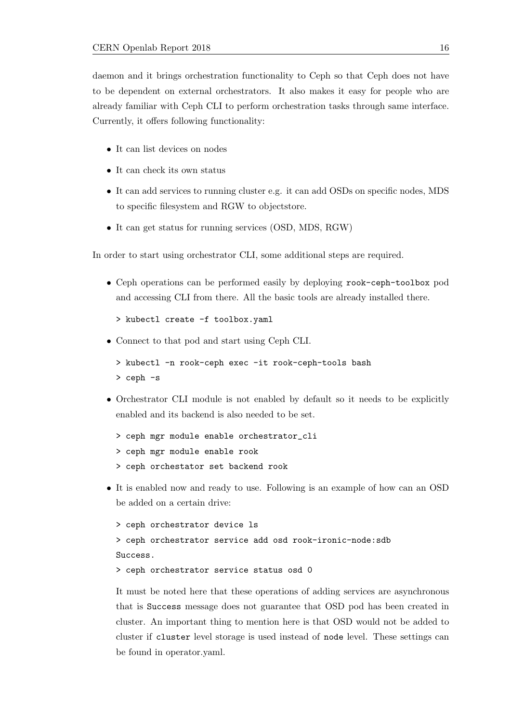daemon and it brings orchestration functionality to Ceph so that Ceph does not have to be dependent on external orchestrators. It also makes it easy for people who are already familiar with Ceph CLI to perform orchestration tasks through same interface. Currently, it offers following functionality:

- It can list devices on nodes
- It can check its own status
- It can add services to running cluster e.g. it can add OSDs on specific nodes, MDS to specific filesystem and RGW to objectstore.
- It can get status for running services (OSD, MDS, RGW)

In order to start using orchestrator CLI, some additional steps are required.

- Ceph operations can be performed easily by deploying rook-ceph-toolbox pod and accessing CLI from there. All the basic tools are already installed there.
	- > kubectl create -f toolbox.yaml
- Connect to that pod and start using Ceph CLI.
	- > kubectl -n rook-ceph exec -it rook-ceph-tools bash
	- > ceph -s
- Orchestrator CLI module is not enabled by default so it needs to be explicitly enabled and its backend is also needed to be set.
	- > ceph mgr module enable orchestrator\_cli
	- > ceph mgr module enable rook
	- > ceph orchestator set backend rook
- It is enabled now and ready to use. Following is an example of how can an OSD be added on a certain drive:

```
> ceph orchestrator device ls
```

```
> ceph orchestrator service add osd rook-ironic-node:sdb
Success.
```

```
> ceph orchestrator service status osd 0
```
It must be noted here that these operations of adding services are asynchronous that is Success message does not guarantee that OSD pod has been created in cluster. An important thing to mention here is that OSD would not be added to cluster if cluster level storage is used instead of node level. These settings can be found in operator.yaml.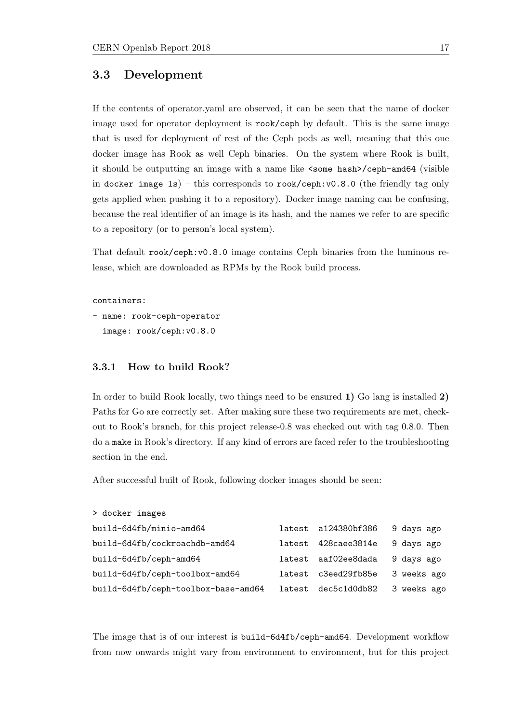### <span id="page-18-0"></span>3.3 Development

If the contents of operator.yaml are observed, it can be seen that the name of docker image used for operator deployment is rook/ceph by default. This is the same image that is used for deployment of rest of the Ceph pods as well, meaning that this one docker image has Rook as well Ceph binaries. On the system where Rook is built, it should be outputting an image with a name like <some hash>/ceph-amd64 (visible in docker image ls) – this corresponds to rook/ceph:v0.8.0 (the friendly tag only gets applied when pushing it to a repository). Docker image naming can be confusing, because the real identifier of an image is its hash, and the names we refer to are specific to a repository (or to person's local system).

That default rook/ceph:v0.8.0 image contains Ceph binaries from the luminous release, which are downloaded as RPMs by the Rook build process.

#### containers:

```
- name: rook-ceph-operator
  image: rook/ceph:v0.8.0
```
#### <span id="page-18-1"></span>3.3.1 How to build Rook?

In order to build Rook locally, two things need to be ensured 1) Go lang is installed 2) Paths for Go are correctly set. After making sure these two requirements are met, checkout to Rook's branch, for this project release-0.8 was checked out with tag 0.8.0. Then do a make in Rook's directory. If any kind of errors are faced refer to the troubleshooting section in the end.

After successful built of Rook, following docker images should be seen:

| > docker images                     |        |                     |             |
|-------------------------------------|--------|---------------------|-------------|
| build-6d4fb/minio-amd64             |        | latest a124380bf386 | 9 days ago  |
| build-6d4fb/cockroachdb-amd64       | latest | 428caee3814e        | 9 days ago  |
| build-6d4fb/ceph-amd64              |        | latest aaf02ee8dada | 9 days ago  |
| build-6d4fb/ceph-toolbox-amd64      | latest | c3eed29fb85e        | 3 weeks ago |
| build-6d4fb/ceph-toolbox-base-amd64 | latest | dec5c1d0db82        | 3 weeks ago |

The image that is of our interest is build-6d4fb/ceph-amd64. Development workflow from now onwards might vary from environment to environment, but for this project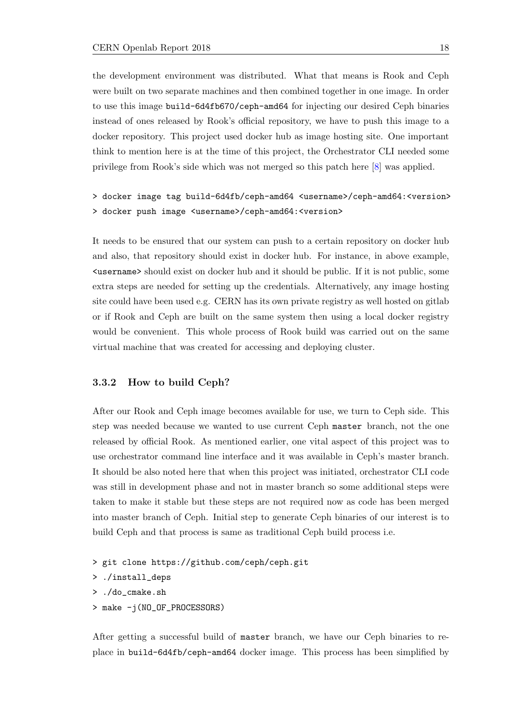the development environment was distributed. What that means is Rook and Ceph were built on two separate machines and then combined together in one image. In order to use this image build-6d4fb670/ceph-amd64 for injecting our desired Ceph binaries instead of ones released by Rook's official repository, we have to push this image to a docker repository. This project used docker hub as image hosting site. One important think to mention here is at the time of this project, the Orchestrator CLI needed some privilege from Rook's side which was not merged so this patch here [\[8\]](#page-27-7) was applied.

> docker image tag build-6d4fb/ceph-amd64 <username>/ceph-amd64:<version> > docker push image <username>/ceph-amd64:<version>

It needs to be ensured that our system can push to a certain repository on docker hub and also, that repository should exist in docker hub. For instance, in above example, <username> should exist on docker hub and it should be public. If it is not public, some extra steps are needed for setting up the credentials. Alternatively, any image hosting site could have been used e.g. CERN has its own private registry as well hosted on gitlab or if Rook and Ceph are built on the same system then using a local docker registry would be convenient. This whole process of Rook build was carried out on the same virtual machine that was created for accessing and deploying cluster.

#### <span id="page-19-0"></span>3.3.2 How to build Ceph?

After our Rook and Ceph image becomes available for use, we turn to Ceph side. This step was needed because we wanted to use current Ceph master branch, not the one released by official Rook. As mentioned earlier, one vital aspect of this project was to use orchestrator command line interface and it was available in Ceph's master branch. It should be also noted here that when this project was initiated, orchestrator CLI code was still in development phase and not in master branch so some additional steps were taken to make it stable but these steps are not required now as code has been merged into master branch of Ceph. Initial step to generate Ceph binaries of our interest is to build Ceph and that process is same as traditional Ceph build process i.e.

- > git clone https://github.com/ceph/ceph.git
- > ./install\_deps
- > ./do\_cmake.sh
- > make -j(NO\_OF\_PROCESSORS)

After getting a successful build of master branch, we have our Ceph binaries to replace in build-6d4fb/ceph-amd64 docker image. This process has been simplified by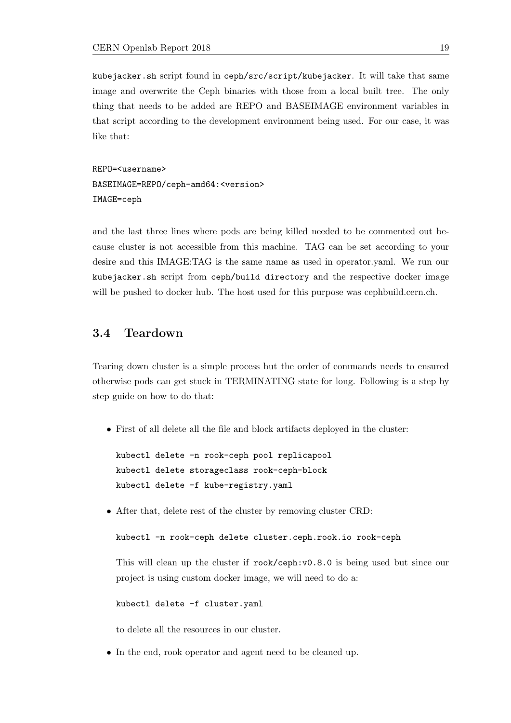kubejacker.sh script found in ceph/src/script/kubejacker. It will take that same image and overwrite the Ceph binaries with those from a local built tree. The only thing that needs to be added are REPO and BASEIMAGE environment variables in that script according to the development environment being used. For our case, it was like that:

REPO=<username> BASEIMAGE=REPO/ceph-amd64:<version> IMAGE=ceph

and the last three lines where pods are being killed needed to be commented out because cluster is not accessible from this machine. TAG can be set according to your desire and this IMAGE:TAG is the same name as used in operator.yaml. We run our kubejacker.sh script from ceph/build directory and the respective docker image will be pushed to docker hub. The host used for this purpose was cephbuild.cern.ch.

### <span id="page-20-0"></span>3.4 Teardown

Tearing down cluster is a simple process but the order of commands needs to ensured otherwise pods can get stuck in TERMINATING state for long. Following is a step by step guide on how to do that:

• First of all delete all the file and block artifacts deployed in the cluster:

kubectl delete -n rook-ceph pool replicapool kubectl delete storageclass rook-ceph-block kubectl delete -f kube-registry.yaml

• After that, delete rest of the cluster by removing cluster CRD:

```
kubectl -n rook-ceph delete cluster.ceph.rook.io rook-ceph
```
This will clean up the cluster if rook/ceph:v0.8.0 is being used but since our project is using custom docker image, we will need to do a:

kubectl delete -f cluster.yaml

to delete all the resources in our cluster.

• In the end, rook operator and agent need to be cleaned up.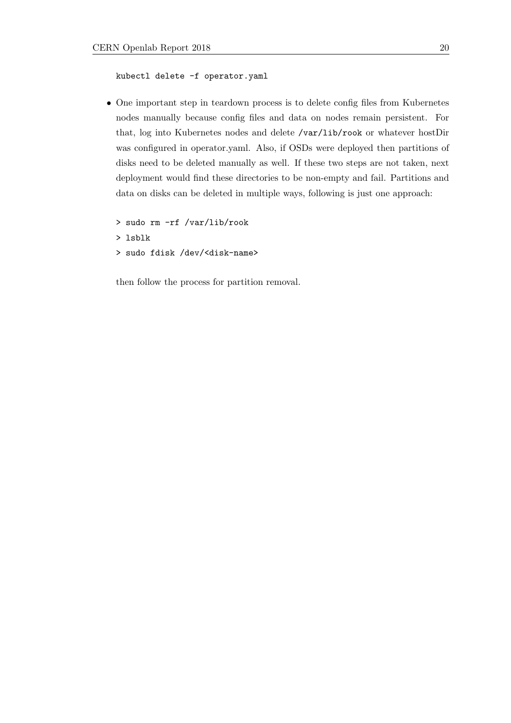```
kubectl delete -f operator.yaml
```
• One important step in teardown process is to delete config files from Kubernetes nodes manually because config files and data on nodes remain persistent. For that, log into Kubernetes nodes and delete /var/lib/rook or whatever hostDir was configured in operator.yaml. Also, if OSDs were deployed then partitions of disks need to be deleted manually as well. If these two steps are not taken, next deployment would find these directories to be non-empty and fail. Partitions and data on disks can be deleted in multiple ways, following is just one approach:

> sudo rm -rf /var/lib/rook > lsblk > sudo fdisk /dev/<disk-name>

then follow the process for partition removal.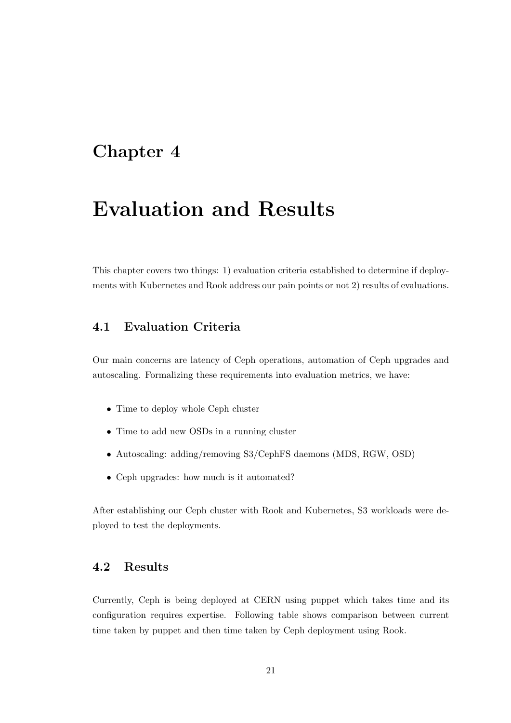## <span id="page-22-0"></span>Evaluation and Results

This chapter covers two things: 1) evaluation criteria established to determine if deployments with Kubernetes and Rook address our pain points or not 2) results of evaluations.

## <span id="page-22-1"></span>4.1 Evaluation Criteria

Our main concerns are latency of Ceph operations, automation of Ceph upgrades and autoscaling. Formalizing these requirements into evaluation metrics, we have:

- Time to deploy whole Ceph cluster
- Time to add new OSDs in a running cluster
- Autoscaling: adding/removing S3/CephFS daemons (MDS, RGW, OSD)
- Ceph upgrades: how much is it automated?

After establishing our Ceph cluster with Rook and Kubernetes, S3 workloads were deployed to test the deployments.

### <span id="page-22-2"></span>4.2 Results

Currently, Ceph is being deployed at CERN using puppet which takes time and its configuration requires expertise. Following table shows comparison between current time taken by puppet and then time taken by Ceph deployment using Rook.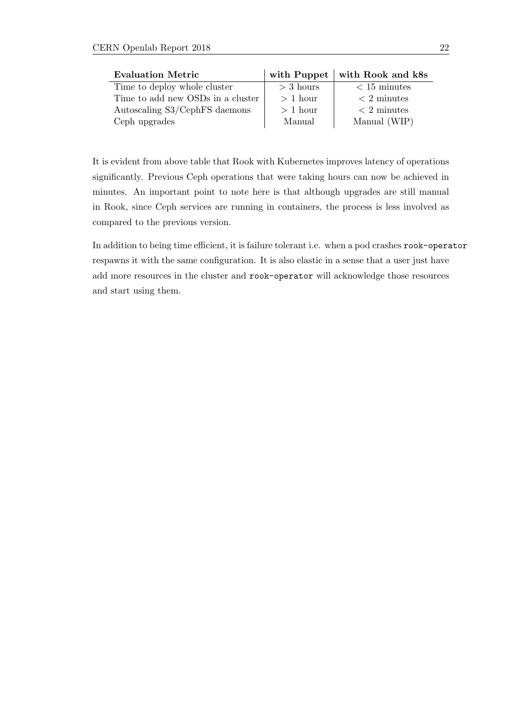| <b>Evaluation Metric</b>          | with Puppet | with Rook and k8s                   |  |
|-----------------------------------|-------------|-------------------------------------|--|
| Time to deploy whole cluster      | $>$ 3 hours | $< 15$ minutes                      |  |
| Time to add new OSDs in a cluster | $> 1$ hour  | $\langle 2 \text{ minutes} \rangle$ |  |
| Autoscaling S3/CephFS daemons     | $> 1$ hour  | $\langle 2 \text{ minutes} \rangle$ |  |
| Ceph upgrades                     | Manual      | Manual (WIP)                        |  |

It is evident from above table that Rook with Kubernetes improves latency of operations significantly. Previous Ceph operations that were taking hours can now be achieved in minutes. An important point to note here is that although upgrades are still manual in Rook, since Ceph services are running in containers, the process is less involved as compared to the previous version.

In addition to being time efficient, it is failure tolerant i.e. when a pod crashes rook-operator respawns it with the same configuration. It is also elastic in a sense that a user just have add more resources in the cluster and rook-operator will acknowledge those resources and start using them.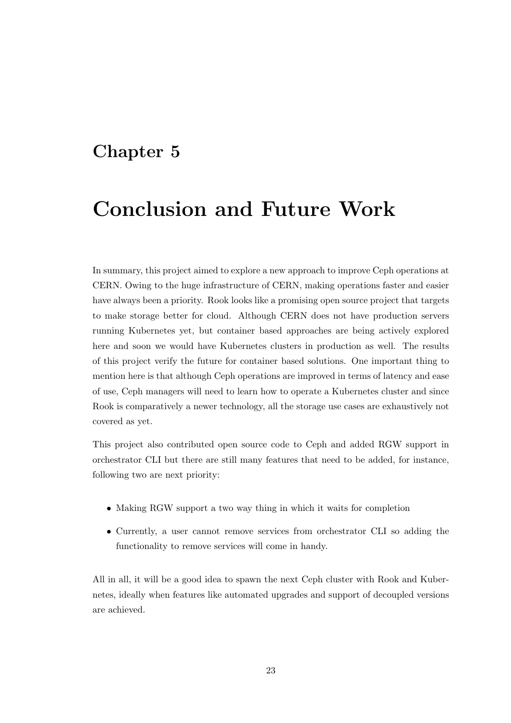# <span id="page-24-0"></span>Conclusion and Future Work

In summary, this project aimed to explore a new approach to improve Ceph operations at CERN. Owing to the huge infrastructure of CERN, making operations faster and easier have always been a priority. Rook looks like a promising open source project that targets to make storage better for cloud. Although CERN does not have production servers running Kubernetes yet, but container based approaches are being actively explored here and soon we would have Kubernetes clusters in production as well. The results of this project verify the future for container based solutions. One important thing to mention here is that although Ceph operations are improved in terms of latency and ease of use, Ceph managers will need to learn how to operate a Kubernetes cluster and since Rook is comparatively a newer technology, all the storage use cases are exhaustively not covered as yet.

This project also contributed open source code to Ceph and added RGW support in orchestrator CLI but there are still many features that need to be added, for instance, following two are next priority:

- Making RGW support a two way thing in which it waits for completion
- Currently, a user cannot remove services from orchestrator CLI so adding the functionality to remove services will come in handy.

All in all, it will be a good idea to spawn the next Ceph cluster with Rook and Kubernetes, ideally when features like automated upgrades and support of decoupled versions are achieved.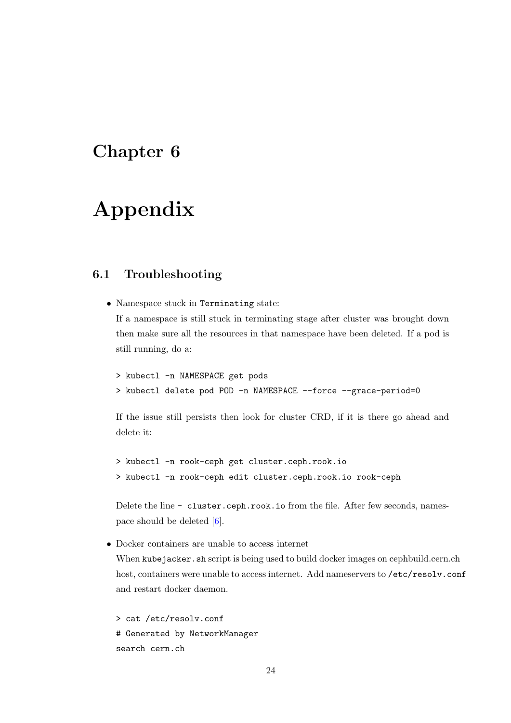# <span id="page-25-0"></span>Appendix

### <span id="page-25-1"></span>6.1 Troubleshooting

• Namespace stuck in Terminating state: If a namespace is still stuck in terminating stage after cluster was brought down then make sure all the resources in that namespace have been deleted. If a pod is still running, do a:

```
> kubectl -n NAMESPACE get pods
> kubectl delete pod POD -n NAMESPACE --force --grace-period=0
```
If the issue still persists then look for cluster CRD, if it is there go ahead and delete it:

```
> kubectl -n rook-ceph get cluster.ceph.rook.io
> kubectl -n rook-ceph edit cluster.ceph.rook.io rook-ceph
```
Delete the line - cluster.ceph.rook.io from the file. After few seconds, namespace should be deleted  $[6]$ .

• Docker containers are unable to access internet

When kubejacker.sh script is being used to build docker images on cephbuild.cern.ch host, containers were unable to access internet. Add nameservers to /etc/resolv.conf and restart docker daemon.

```
> cat /etc/resolv.conf
# Generated by NetworkManager
search cern.ch
```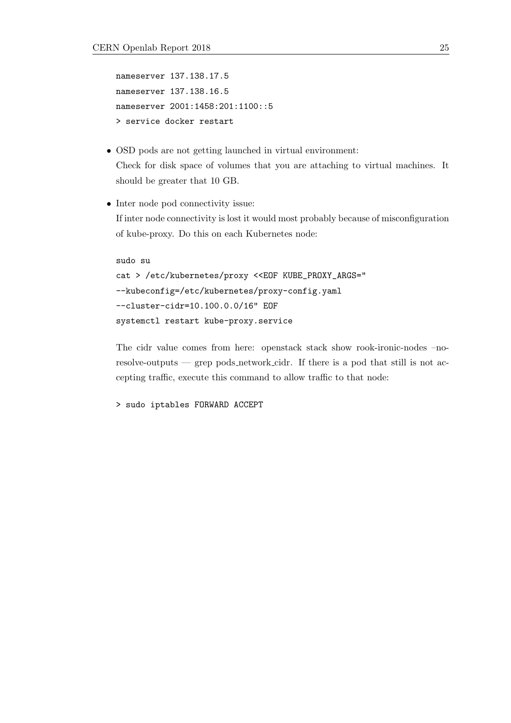```
nameserver 137.138.17.5
nameserver 137.138.16.5
nameserver 2001:1458:201:1100::5
> service docker restart
```
- OSD pods are not getting launched in virtual environment: Check for disk space of volumes that you are attaching to virtual machines. It should be greater that 10 GB.
- Inter node pod connectivity issue: If inter node connectivity is lost it would most probably because of misconfiguration of kube-proxy. Do this on each Kubernetes node:

```
sudo su
cat > /etc/kubernetes/proxy <<EOF KUBE_PROXY_ARGS="
--kubeconfig=/etc/kubernetes/proxy-config.yaml
--cluster-cidr=10.100.0.0/16" EOF
systemctl restart kube-proxy.service
```
The cidr value comes from here: openstack stack show rook-ironic-nodes –noresolve-outputs — grep pods network cidr. If there is a pod that still is not accepting traffic, execute this command to allow traffic to that node:

```
> sudo iptables FORWARD ACCEPT
```